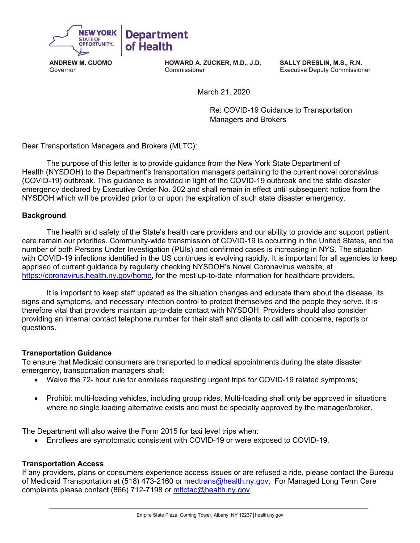

**ANDREW M. CUOMO** Governor

HOWARD A. ZUCKER, M.D., J.D. Commissioner

SALLY DRESLIN, M.S., R.N. **Executive Deputy Commissioner** 

March 21, 2020

Re: COVID-19 Guidance to Transportation Managers and Brokers

Dear Transportation Managers and Brokers (MLTC):

The purpose of this letter is to provide guidance from the New York State Department of Health (NYSDOH) to the Department's transportation managers pertaining to the current novel coronavirus (COVID-19) outbreak. This guidance is provided in light of the COVID-19 outbreak and the state disaster emergency declared by Executive Order No. 202 and shall remain in effect until subsequent notice from the NYSDOH which will be provided prior to or upon the expiration of such state disaster emergency.

## **Background**

The health and safety of the State's health care providers and our ability to provide and support patient care remain our priorities. Community-wide transmission of COVID-19 is occurring in the United States, and the number of both Persons Under Investigation (PUIs) and confirmed cases is increasing in NYS. The situation with COVID-19 infections identified in the US continues is evolving rapidly. It is important for all agencies to keep apprised of current guidance by regularly checking NYSDOH's Novel Coronavirus website, at [https://coronavirus.health.ny.gov/home,](https://coronavirus.health.ny.gov/home) for the most up-to-date information for healthcare providers.

It is important to keep staff updated as the situation changes and educate them about the disease, its signs and symptoms, and necessary infection control to protect themselves and the people they serve. It is therefore vital that providers maintain up-to-date contact with NYSDOH. Providers should also consider providing an internal contact telephone number for their staff and clients to call with concerns, reports or questions.

## **Transportation Guidance**

To ensure that Medicaid consumers are transported to medical appointments during the state disaster emergency, transportation managers shall:

- Waive the 72- hour rule for enrollees requesting urgent trips for COVID-19 related symptoms;
- Prohibit multi-loading vehicles, including group rides. Multi-loading shall only be approved in situations where no single loading alternative exists and must be specially approved by the manager/broker.

The Department will also waive the Form 2015 for taxi level trips when:

• Enrollees are symptomatic consistent with COVID-19 or were exposed to COVID-19.

## **Transportation Access**

If any providers, plans or consumers experience access issues or are refused a ride, please contact the Bureau of Medicaid Transportation at (518) 473-2160 or [medtrans@health.ny.gov,](mailto:medtrans@health.ny.gov) For Managed Long Term Care complaints please contact (866) 712-7198 or mitctac@health.ny.gov.